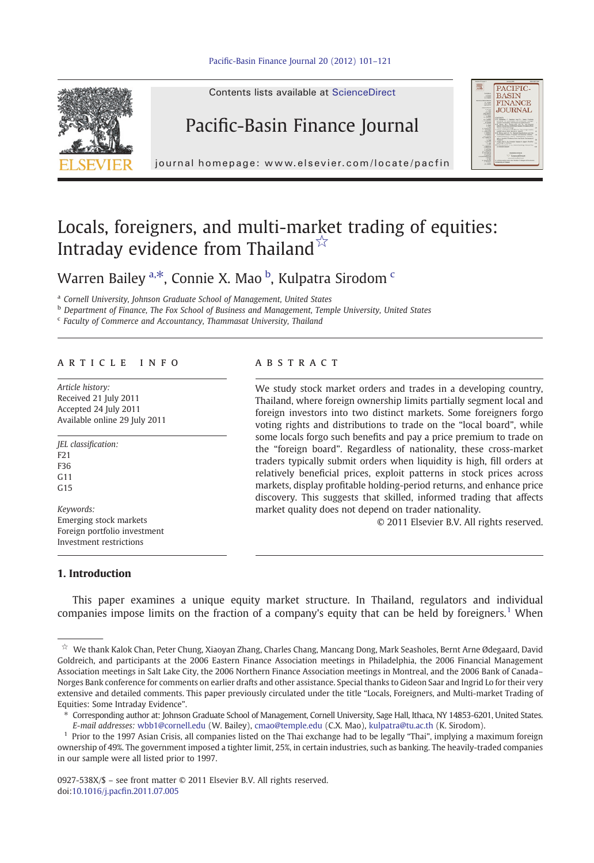

Contents lists available at ScienceDirect

## Pacific-Basin Finance Journal



journal homepage: www.elsevier.com/locate/pacfin

## Locals, foreigners, and multi-market trading of equities: Intraday evidence from Thailand $\overline{\mathbf{x}}$

Warren Bailey <sup>a, $\ast$ </sup>, Connie X. Mao  $^{\rm b}$ , Kulpatra Sirodom  $^{\rm c}$ 

<sup>a</sup> Cornell University, Johnson Graduate School of Management, United States

**b** Department of Finance, The Fox School of Business and Management, Temple University, United States

<sup>c</sup> Faculty of Commerce and Accountancy, Thammasat University, Thailand

#### article info abstract

Article history: Received 21 July 2011 Accepted 24 July 2011 Available online 29 July 2011

JEL classification: F21 F36  $G<sub>11</sub>$  $C<sub>15</sub>$ Keywords: Emerging stock markets Foreign portfolio investment

Investment restrictions

#### 1. Introduction

We study stock market orders and trades in a developing country, Thailand, where foreign ownership limits partially segment local and foreign investors into two distinct markets. Some foreigners forgo voting rights and distributions to trade on the "local board", while some locals forgo such benefits and pay a price premium to trade on the "foreign board". Regardless of nationality, these cross-market traders typically submit orders when liquidity is high, fill orders at relatively beneficial prices, exploit patterns in stock prices across markets, display profitable holding-period returns, and enhance price discovery. This suggests that skilled, informed trading that affects market quality does not depend on trader nationality.

© 2011 Elsevier B.V. All rights reserved.

This paper examines a unique equity market structure. In Thailand, regulators and individual companies impose limits on the fraction of a company's equity that can be held by foreigners.<sup>1</sup> When

<sup>☆</sup> We thank Kalok Chan, Peter Chung, Xiaoyan Zhang, Charles Chang, Mancang Dong, Mark Seasholes, Bernt Arne Ødegaard, David Goldreich, and participants at the 2006 Eastern Finance Association meetings in Philadelphia, the 2006 Financial Management Association meetings in Salt Lake City, the 2006 Northern Finance Association meetings in Montreal, and the 2006 Bank of Canada– Norges Bank conference for comments on earlier drafts and other assistance. Special thanks to Gideon Saar and Ingrid Lo for their very extensive and detailed comments. This paper previously circulated under the title "Locals, Foreigners, and Multi-market Trading of Equities: Some Intraday Evidence".

<sup>⁎</sup> Corresponding author at: Johnson Graduate School of Management, Cornell University, Sage Hall, Ithaca, NY 14853-6201, United States. E-mail addresses: [wbb1@cornell.edu](mailto:wbb1@cornell.edu) (W. Bailey), [cmao@temple.edu](mailto:cmao@temple.edu) (C.X. Mao), [kulpatra@tu.ac.th](mailto:kulpatra@tu.ac.th) (K. Sirodom).

 $<sup>1</sup>$  Prior to the 1997 Asian Crisis, all companies listed on the Thai exchange had to be legally "Thai", implying a maximum foreign</sup> ownership of 49%. The government imposed a tighter limit, 25%, in certain industries, such as banking. The heavily-traded companies in our sample were all listed prior to 1997.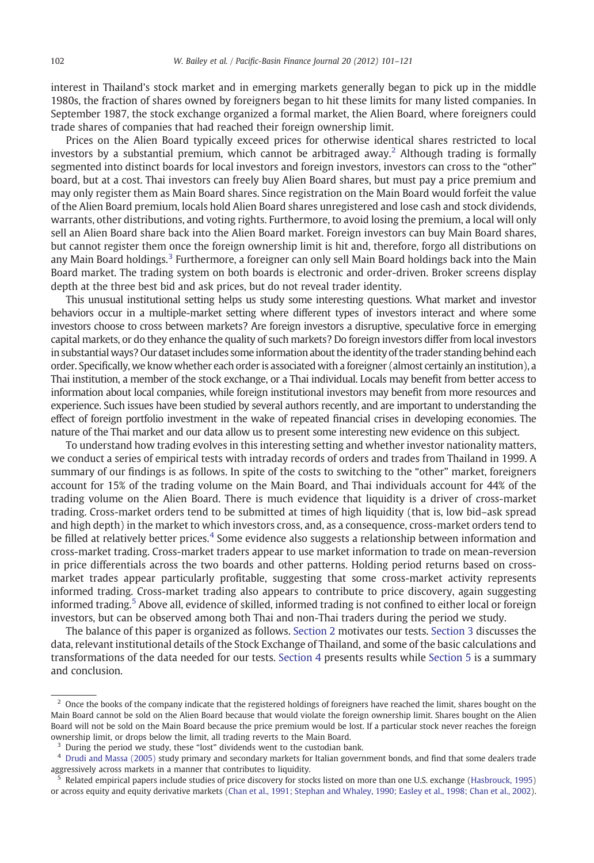interest in Thailand's stock market and in emerging markets generally began to pick up in the middle 1980s, the fraction of shares owned by foreigners began to hit these limits for many listed companies. In September 1987, the stock exchange organized a formal market, the Alien Board, where foreigners could trade shares of companies that had reached their foreign ownership limit.

Prices on the Alien Board typically exceed prices for otherwise identical shares restricted to local investors by a substantial premium, which cannot be arbitraged away.<sup>2</sup> Although trading is formally segmented into distinct boards for local investors and foreign investors, investors can cross to the "other" board, but at a cost. Thai investors can freely buy Alien Board shares, but must pay a price premium and may only register them as Main Board shares. Since registration on the Main Board would forfeit the value of the Alien Board premium, locals hold Alien Board shares unregistered and lose cash and stock dividends, warrants, other distributions, and voting rights. Furthermore, to avoid losing the premium, a local will only sell an Alien Board share back into the Alien Board market. Foreign investors can buy Main Board shares, but cannot register them once the foreign ownership limit is hit and, therefore, forgo all distributions on any Main Board holdings.<sup>3</sup> Furthermore, a foreigner can only sell Main Board holdings back into the Main Board market. The trading system on both boards is electronic and order-driven. Broker screens display depth at the three best bid and ask prices, but do not reveal trader identity.

This unusual institutional setting helps us study some interesting questions. What market and investor behaviors occur in a multiple-market setting where different types of investors interact and where some investors choose to cross between markets? Are foreign investors a disruptive, speculative force in emerging capital markets, or do they enhance the quality of such markets? Do foreign investors differ from local investors in substantial ways? Our dataset includes some information about the identity of the trader standing behind each order. Specifically, we know whether each order is associated with a foreigner (almost certainly an institution), a Thai institution, a member of the stock exchange, or a Thai individual. Locals may benefit from better access to information about local companies, while foreign institutional investors may benefit from more resources and experience. Such issues have been studied by several authors recently, and are important to understanding the effect of foreign portfolio investment in the wake of repeated financial crises in developing economies. The nature of the Thai market and our data allow us to present some interesting new evidence on this subject.

To understand how trading evolves in this interesting setting and whether investor nationality matters, we conduct a series of empirical tests with intraday records of orders and trades from Thailand in 1999. A summary of our findings is as follows. In spite of the costs to switching to the "other" market, foreigners account for 15% of the trading volume on the Main Board, and Thai individuals account for 44% of the trading volume on the Alien Board. There is much evidence that liquidity is a driver of cross-market trading. Cross-market orders tend to be submitted at times of high liquidity (that is, low bid–ask spread and high depth) in the market to which investors cross, and, as a consequence, cross-market orders tend to be filled at relatively better prices.<sup>4</sup> Some evidence also suggests a relationship between information and cross-market trading. Cross-market traders appear to use market information to trade on mean-reversion in price differentials across the two boards and other patterns. Holding period returns based on crossmarket trades appear particularly profitable, suggesting that some cross-market activity represents informed trading. Cross-market trading also appears to contribute to price discovery, again suggesting informed trading.<sup>5</sup> Above all, evidence of skilled, informed trading is not confined to either local or foreign investors, but can be observed among both Thai and non-Thai traders during the period we study.

The balance of this paper is organized as follows. [Section 2](#page--1-0) motivates our tests. [Section 3](#page--1-0) discusses the data, relevant institutional details of the Stock Exchange of Thailand, and some of the basic calculations and transformations of the data needed for our tests. [Section 4](#page--1-0) presents results while [Section 5](#page--1-0) is a summary and conclusion.

<sup>&</sup>lt;sup>2</sup> Once the books of the company indicate that the registered holdings of foreigners have reached the limit, shares bought on the Main Board cannot be sold on the Alien Board because that would violate the foreign ownership limit. Shares bought on the Alien Board will not be sold on the Main Board because the price premium would be lost. If a particular stock never reaches the foreign ownership limit, or drops below the limit, all trading reverts to the Main Board.

<sup>&</sup>lt;sup>3</sup> During the period we study, these "lost" dividends went to the custodian bank.

<sup>4</sup> [Drudi and Massa \(2005\)](#page--1-0) study primary and secondary markets for Italian government bonds, and find that some dealers trade aggressively across markets in a manner that contributes to liquidity.

<sup>5</sup> Related empirical papers include studies of price discovery for stocks listed on more than one U.S. exchange [\(Hasbrouck, 1995\)](#page--1-0) or across equity and equity derivative markets [\(Chan et al., 1991; Stephan and Whaley, 1990; Easley et al., 1998; Chan et al., 2002](#page--1-0)).